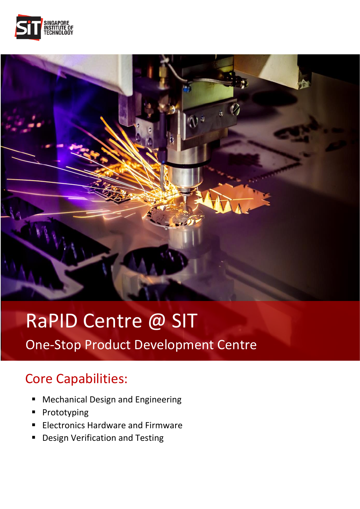



## RaPID Centre @ SIT

One-Stop Product Development Centre

## Core Capabilities:

- **E** Mechanical Design and Engineering
- Prototyping
- Electronics Hardware and Firmware
- Design Verification and Testing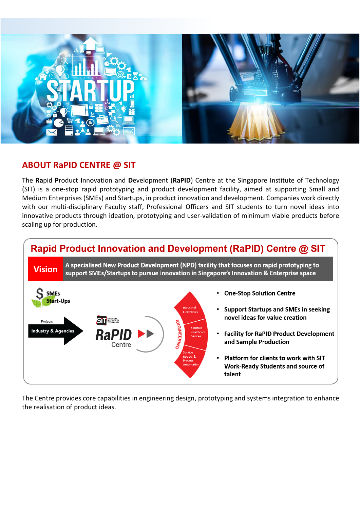

## **ABOUT RaPID CENTRE @ SIT**

The **Ra**pid **P**roduct **I**nnovation and **D**evelopment (**RaPID**) Centre at the Singapore Institute of Technology (SIT) is a one-stop rapid prototyping and product development facility, aimed at supporting Small and Medium Enterprises (SMEs) and Startups, in product innovation and development. Companies work directly with our multi-disciplinary Faculty staff, Professional Officers and SIT students to turn novel ideas into innovative products through ideation, prototyping and user-validation of minimum viable products before scaling up for production.



The Centre provides core capabilities in engineering design, prototyping and systems integration to enhance the realisation of product ideas.